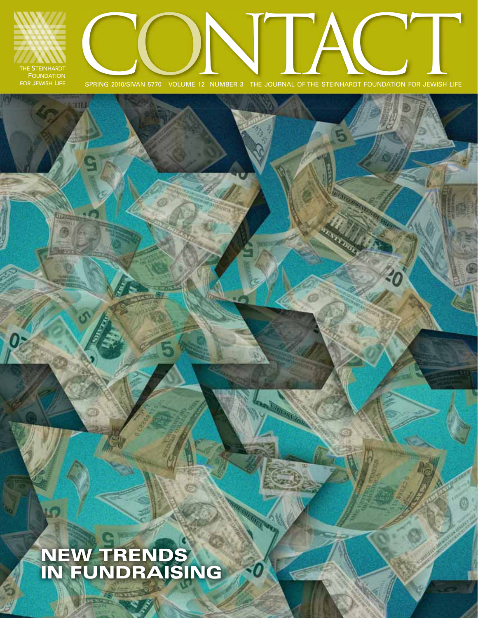

**NEW TRENDS IN FUNDRAISING**

**Dy Shire** 

Œρ